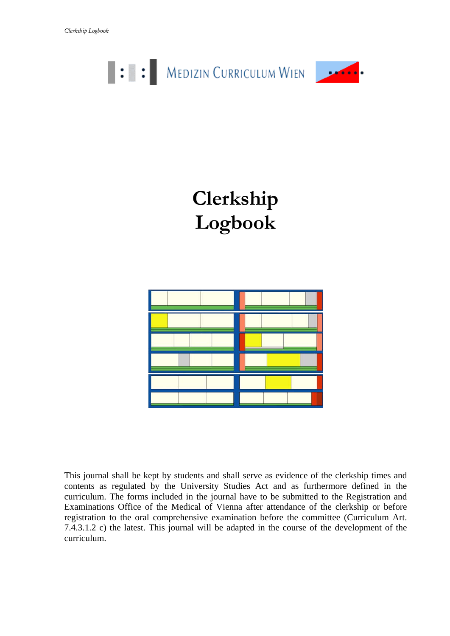

# **Clerkship Logbook**



This journal shall be kept by students and shall serve as evidence of the clerkship times and contents as regulated by the University Studies Act and as furthermore defined in the curriculum. The forms included in the journal have to be submitted to the Registration and Examinations Office of the Medical of Vienna after attendance of the clerkship or before registration to the oral comprehensive examination before the committee (Curriculum Art. 7.4.3.1.2 c) the latest. This journal will be adapted in the course of the development of the curriculum.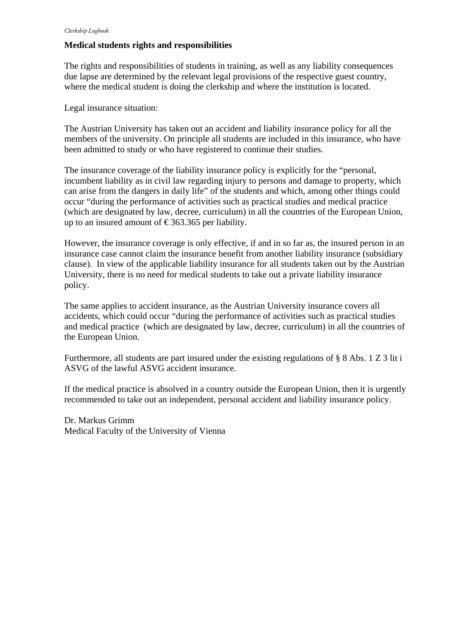#### **Medical students rights and responsibilities**

The rights and responsibilities of students in training, as well as any liability consequences due lapse are determined by the relevant legal provisions of the respective guest country, where the medical student is doing the clerkship and where the institution is located.

Legal insurance situation:

The Austrian University has taken out an accident and liability insurance policy for all the members of the university. On principle all students are included in this insurance, who have been admitted to study or who have registered to continue their studies.

The insurance coverage of the liability insurance policy is explicitly for the "personal, incumbent liability as in civil law regarding injury to persons and damage to property, which can arise from the dangers in daily life" of the students and which, among other things could occur "during the performance of activities such as practical studies and medical practice (which are designated by law, decree, curriculum) in all the countries of the European Union, up to an insured amount of  $\text{\textsterling}363.365$  per liability.

However, the insurance coverage is only effective, if and in so far as, the insured person in an insurance case cannot claim the insurance benefit from another liability insurance (subsidiary clause). In view of the applicable liability insurance for all students taken out by the Austrian University, there is no need for medical students to take out a private liability insurance policy.

The same applies to accident insurance, as the Austrian University insurance covers all accidents, which could occur "during the performance of activities such as practical studies and medical practice (which are designated by law, decree, curriculum) in all the countries of the European Union.

Furthermore, all students are part insured under the existing regulations of § 8 Abs. 1 Z 3 lit i ASVG of the lawful ASVG accident insurance.

If the medical practice is absolved in a country outside the European Union, then it is urgently recommended to take out an independent, personal accident and liability insurance policy.

Dr. Markus Grimm Medical Faculty of the University of Vienna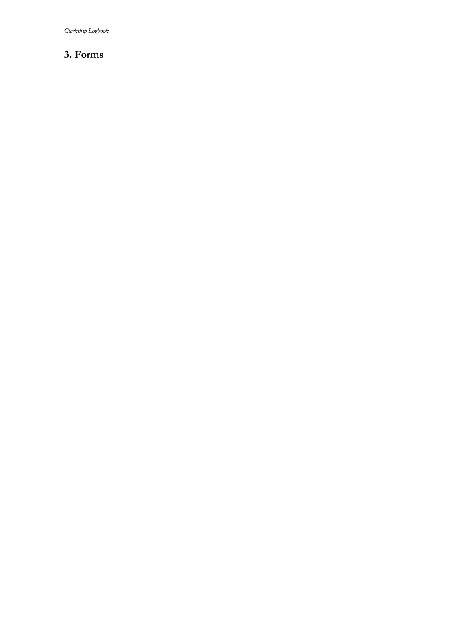*Clerkship Logbook* 

## **3. Forms**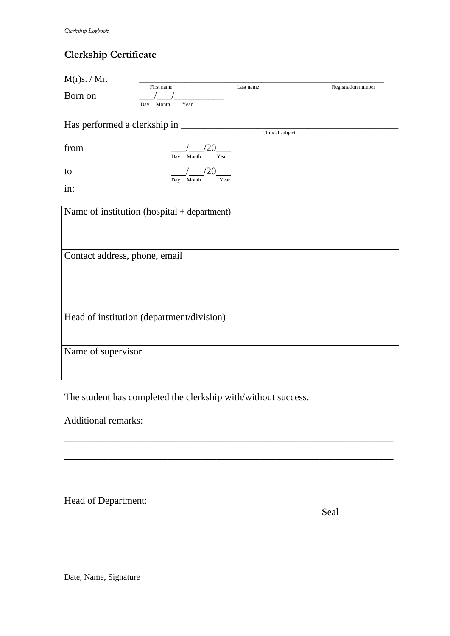## **Clerkship Certificate**

| M(r)s. / Mr.                                       | First name                                  | Last name | Registration number |  |  |
|----------------------------------------------------|---------------------------------------------|-----------|---------------------|--|--|
| Born on                                            | Month<br>Year<br>Day                        |           |                     |  |  |
| Has performed a clerkship in _<br>Clinical subject |                                             |           |                     |  |  |
| from                                               | Year<br>Month<br>Day                        |           |                     |  |  |
| to                                                 | Month<br>Year<br>Day                        |           |                     |  |  |
| in:                                                |                                             |           |                     |  |  |
|                                                    | Name of institution (hospital + department) |           |                     |  |  |
|                                                    |                                             |           |                     |  |  |
| Contact address, phone, email                      |                                             |           |                     |  |  |
|                                                    |                                             |           |                     |  |  |
|                                                    |                                             |           |                     |  |  |
| Head of institution (department/division)          |                                             |           |                     |  |  |
|                                                    |                                             |           |                     |  |  |
| Name of supervisor                                 |                                             |           |                     |  |  |
|                                                    |                                             |           |                     |  |  |

\_\_\_\_\_\_\_\_\_\_\_\_\_\_\_\_\_\_\_\_\_\_\_\_\_\_\_\_\_\_\_\_\_\_\_\_\_\_\_\_\_\_\_\_\_\_\_\_\_\_\_\_\_\_\_\_\_\_\_\_\_\_\_\_\_\_\_

\_\_\_\_\_\_\_\_\_\_\_\_\_\_\_\_\_\_\_\_\_\_\_\_\_\_\_\_\_\_\_\_\_\_\_\_\_\_\_\_\_\_\_\_\_\_\_\_\_\_\_\_\_\_\_\_\_\_\_\_\_\_\_\_\_\_\_

The student has completed the clerkship with/without success.

Additional remarks:

Head of Department:

**Seal** 

Date, Name, Signature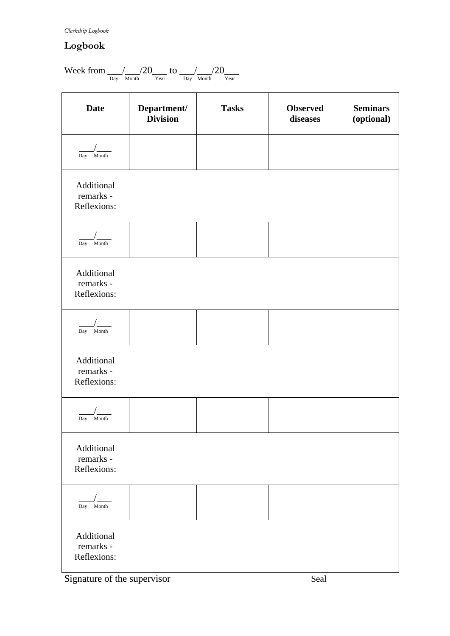#### *Clerkship Logbook*

# **Logbook**

$$
Week\ from\ \_\_{{\rm Day}}\ /\_{\rm Month} / 20 \rm\_{\,Year} \ to\ \_\_{{\rm Day}}\ /\_{\rm Month} / 20 \rm\_{\,Year}
$$

| <b>Date</b>                            | Department/<br><b>Division</b> | <b>Tasks</b> | <b>Observed</b><br>diseases | <b>Seminars</b><br>(optional) |
|----------------------------------------|--------------------------------|--------------|-----------------------------|-------------------------------|
| Month<br>Day                           |                                |              |                             |                               |
| Additional<br>remarks -<br>Reflexions: |                                |              |                             |                               |
| Day<br>Month                           |                                |              |                             |                               |
| Additional<br>remarks -<br>Reflexions: |                                |              |                             |                               |
| Day Month                              |                                |              |                             |                               |
| Additional<br>remarks -<br>Reflexions: |                                |              |                             |                               |
| Month<br>Day                           |                                |              |                             |                               |
| Additional<br>remarks -<br>Reflexions: |                                |              |                             |                               |
| Month<br>Day                           |                                |              |                             |                               |
| Additional<br>remarks -<br>Reflexions: |                                |              |                             |                               |

Signature of the supervisor Seal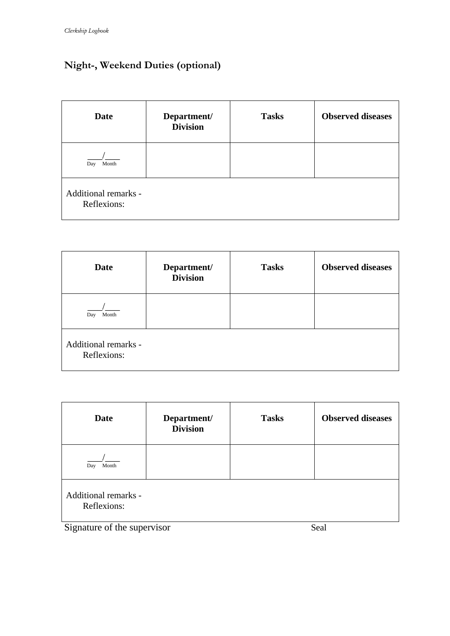# **Night-, Weekend Duties (optional)**

| <b>Date</b>                         | Department/<br><b>Division</b> | <b>Tasks</b> | <b>Observed diseases</b> |
|-------------------------------------|--------------------------------|--------------|--------------------------|
| Month<br>Day                        |                                |              |                          |
| Additional remarks -<br>Reflexions: |                                |              |                          |

| <b>Date</b>                         | Department/<br><b>Division</b> | <b>Tasks</b> | <b>Observed diseases</b> |
|-------------------------------------|--------------------------------|--------------|--------------------------|
| Month<br>Day                        |                                |              |                          |
| Additional remarks -<br>Reflexions: |                                |              |                          |

| <b>Date</b>                         | Department/<br><b>Division</b> | <b>Tasks</b> | <b>Observed diseases</b> |  |
|-------------------------------------|--------------------------------|--------------|--------------------------|--|
| Month<br>Day                        |                                |              |                          |  |
| Additional remarks -<br>Reflexions: |                                |              |                          |  |
| Signature of the supervisor         |                                |              | Seal                     |  |